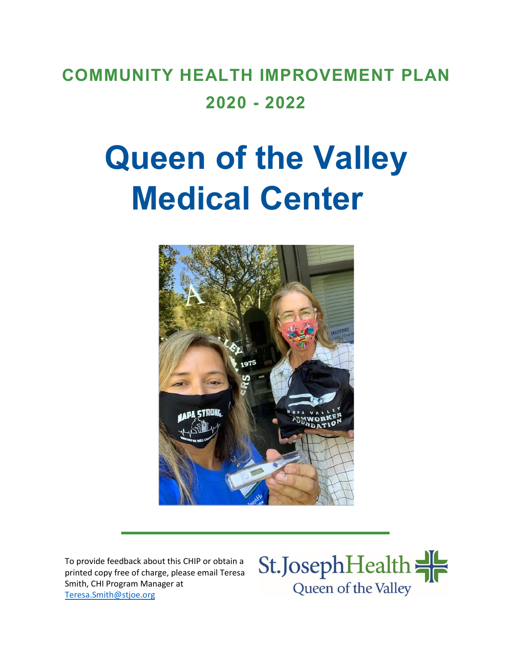# **COMMUNITY HEALTH IMPROVEMENT PLAN 2020 - 2022**

# **Queen of the Valley Medical Center**



To provide feedback about this CHIP or obtain a printed copy free of charge, please email Teresa Smith, CHI Program Manager at [Teresa.Smith@stjoe.org](mailto:Teresa.Smith@stjoe.org)

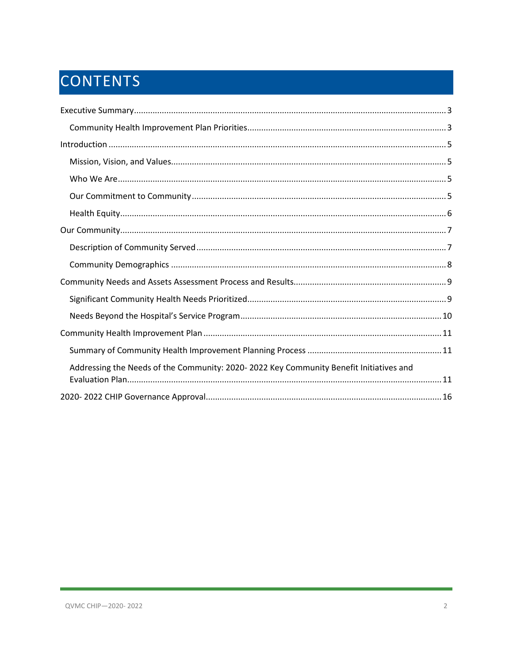# CONTENTS

| Addressing the Needs of the Community: 2020-2022 Key Community Benefit Initiatives and |
|----------------------------------------------------------------------------------------|
|                                                                                        |
|                                                                                        |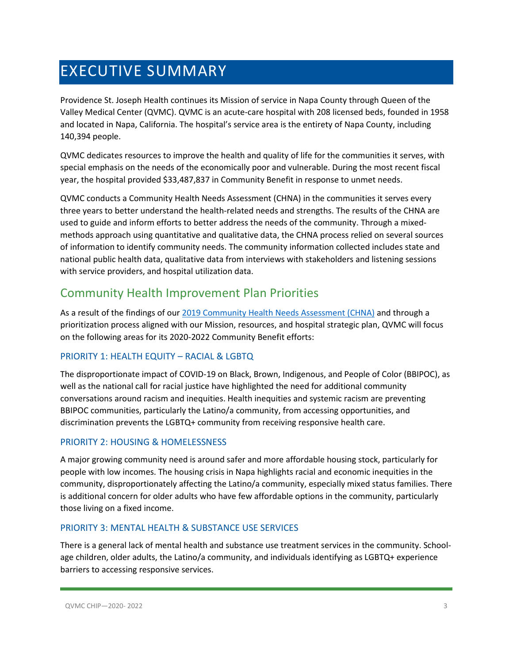## <span id="page-2-0"></span>EXECUTIVE SUMMARY

Providence St. Joseph Health continues its Mission of service in Napa County through Queen of the Valley Medical Center (QVMC). QVMC is an acute-care hospital with 208 licensed beds, founded in 1958 and located in Napa, California. The hospital's service area is the entirety of Napa County, including 140,394 people.

QVMC dedicates resources to improve the health and quality of life for the communities it serves, with special emphasis on the needs of the economically poor and vulnerable. During the most recent fiscal year, the hospital provided \$33,487,837 in Community Benefit in response to unmet needs.

QVMC conducts a Community Health Needs Assessment (CHNA) in the communities it serves every three years to better understand the health-related needs and strengths. The results of the CHNA are used to guide and inform efforts to better address the needs of the community. Through a mixedmethods approach using quantitative and qualitative data, the CHNA process relied on several sources of information to identify community needs. The community information collected includes state and national public health data, qualitative data from interviews with stakeholders and listening sessions with service providers, and hospital utilization data.

### <span id="page-2-1"></span>Community Health Improvement Plan Priorities

As a result of the findings of our [2019 Community Health Needs Assessment \(CHNA\)](https://www.providence.org/-/media/Project/psjh/providence/socal/Files/about/community-benefit/reports/2019chna-queenofthevalleymedicalcenter.pdf?la=en&hash=95CE2A5B48AABF66A368B1BDFBAD1C04) and through a prioritization process aligned with our Mission, resources, and hospital strategic plan, QVMC will focus on the following areas for its 2020-2022 Community Benefit efforts:

### PRIORITY 1: HEALTH EQUITY – RACIAL & LGBTQ

The disproportionate impact of COVID-19 on Black, Brown, Indigenous, and People of Color (BBIPOC), as well as the national call for racial justice have highlighted the need for additional community conversations around racism and inequities. Health inequities and systemic racism are preventing BBIPOC communities, particularly the Latino/a community, from accessing opportunities, and discrimination prevents the LGBTQ+ community from receiving responsive health care.

### PRIORITY 2: HOUSING & HOMELESSNESS

A major growing community need is around safer and more affordable housing stock, particularly for people with low incomes. The housing crisis in Napa highlights racial and economic inequities in the community, disproportionately affecting the Latino/a community, especially mixed status families. There is additional concern for older adults who have few affordable options in the community, particularly those living on a fixed income.

### PRIORITY 3: MENTAL HEALTH & SUBSTANCE USE SERVICES

There is a general lack of mental health and substance use treatment services in the community. Schoolage children, older adults, the Latino/a community, and individuals identifying as LGBTQ+ experience barriers to accessing responsive services.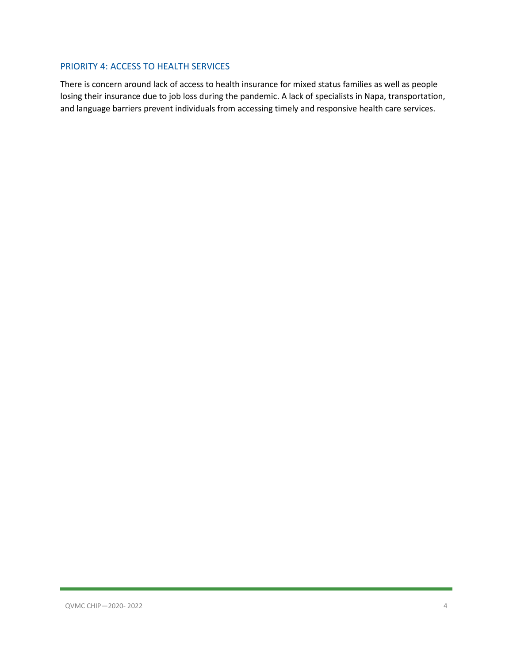### PRIORITY 4: ACCESS TO HEALTH SERVICES

There is concern around lack of access to health insurance for mixed status families as well as people losing their insurance due to job loss during the pandemic. A lack of specialists in Napa, transportation, and language barriers prevent individuals from accessing timely and responsive health care services.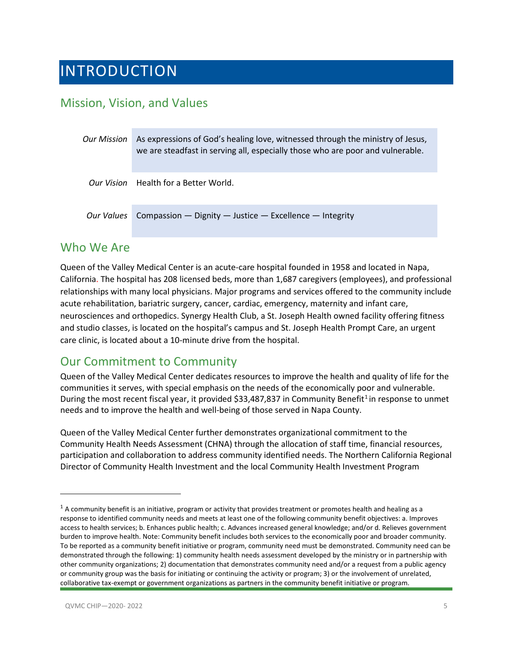### <span id="page-4-0"></span>INTRODUCTION

### <span id="page-4-1"></span>Mission, Vision, and Values

| Our Mission | As expressions of God's healing love, witnessed through the ministry of Jesus,<br>we are steadfast in serving all, especially those who are poor and vulnerable. |
|-------------|------------------------------------------------------------------------------------------------------------------------------------------------------------------|
|             | <i>Our Vision</i> Health for a Better World.                                                                                                                     |
| Our Values  | Compassion $-$ Dignity $-$ Justice $-$ Excellence $-$ Integrity                                                                                                  |

### <span id="page-4-2"></span>Who We Are

Queen of the Valley Medical Center is an acute-care hospital founded in 1958 and located in Napa, California. The hospital has 208 licensed beds, more than 1,687 caregivers (employees), and professional relationships with many local physicians. Major programs and services offered to the community include acute rehabilitation, bariatric surgery, cancer, cardiac, emergency, maternity and infant care, neurosciences and orthopedics. Synergy Health Club, a St. Joseph Health owned facility offering fitness and studio classes, is located on the hospital's campus and St. Joseph Health Prompt Care, an urgent care clinic, is located about a 10-minute drive from the hospital.

### <span id="page-4-3"></span>Our Commitment to Community

Queen of the Valley Medical Center dedicates resources to improve the health and quality of life for the communities it serves, with special emphasis on the needs of the economically poor and vulnerable. During the most recent fiscal year, it provided \$33,487,837 in Community Benefit<sup>1</sup> in response to unmet needs and to improve the health and well-being of those served in Napa County.

Queen of the Valley Medical Center further demonstrates organizational commitment to the Community Health Needs Assessment (CHNA) through the allocation of staff time, financial resources, participation and collaboration to address community identified needs. The Northern California Regional Director of Community Health Investment and the local Community Health Investment Program

<span id="page-4-4"></span> $1$  A community benefit is an initiative, program or activity that provides treatment or promotes health and healing as a response to identified community needs and meets at least one of the following community benefit objectives: a. Improves access to health services; b. Enhances public health; c. Advances increased general knowledge; and/or d. Relieves government burden to improve health. Note: Community benefit includes both services to the economically poor and broader community. To be reported as a community benefit initiative or program, community need must be demonstrated. Community need can be demonstrated through the following: 1) community health needs assessment developed by the ministry or in partnership with other community organizations; 2) documentation that demonstrates community need and/or a request from a public agency or community group was the basis for initiating or continuing the activity or program; 3) or the involvement of unrelated, collaborative tax-exempt or government organizations as partners in the community benefit initiative or program.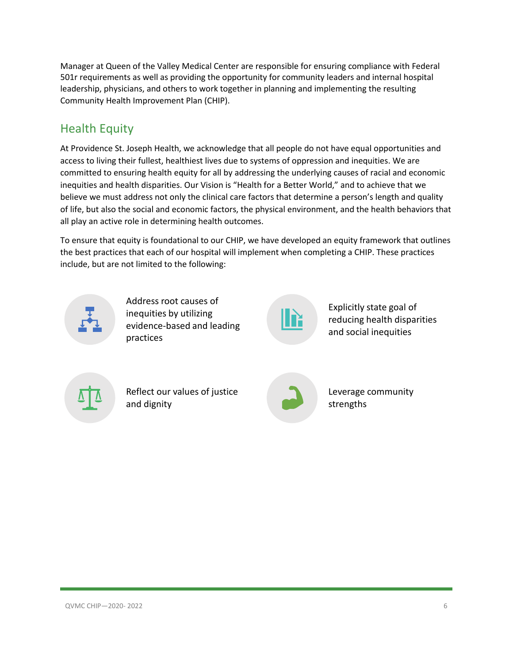Manager at Queen of the Valley Medical Center are responsible for ensuring compliance with Federal 501r requirements as well as providing the opportunity for community leaders and internal hospital leadership, physicians, and others to work together in planning and implementing the resulting Community Health Improvement Plan (CHIP).

### <span id="page-5-0"></span>Health Equity

At Providence St. Joseph Health, we acknowledge that all people do not have equal opportunities and access to living their fullest, healthiest lives due to systems of oppression and inequities. We are committed to ensuring health equity for all by addressing the underlying causes of racial and economic inequities and health disparities. Our Vision is "Health for a Better World," and to achieve that we believe we must address not only the clinical care factors that determine a person's length and quality of life, but also the social and economic factors, the physical environment, and the health behaviors that all play an active role in determining health outcomes.

To ensure that equity is foundational to our CHIP, we have developed an equity framework that outlines the best practices that each of our hospital will implement when completing a CHIP. These practices include, but are not limited to the following:



Address root causes of inequities by utilizing evidence-based and leading practices



Explicitly state goal of reducing health disparities and social inequities

Reflect our values of justice and dignity



Leverage community strengths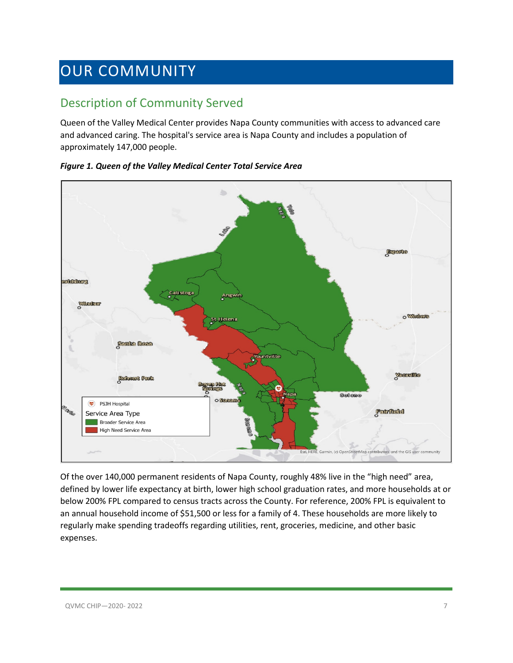### <span id="page-6-0"></span>OUR COMMUNITY

### <span id="page-6-1"></span>Description of Community Served

Queen of the Valley Medical Center provides Napa County communities with access to advanced care and advanced caring. The hospital's service area is Napa County and includes a population of approximately 147,000 people.



### *Figure 1. Queen of the Valley Medical Center Total Service Area*

Of the over 140,000 permanent residents of Napa County, roughly 48% live in the "high need" area, defined by lower life expectancy at birth, lower high school graduation rates, and more households at or below 200% FPL compared to census tracts across the County. For reference, 200% FPL is equivalent to an annual household income of \$51,500 or less for a family of 4. These households are more likely to regularly make spending tradeoffs regarding utilities, rent, groceries, medicine, and other basic expenses.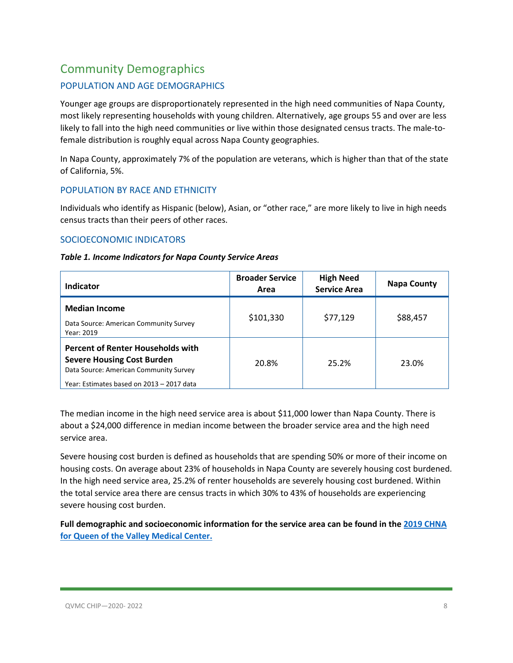### <span id="page-7-0"></span>Community Demographics

### POPULATION AND AGE DEMOGRAPHICS

Younger age groups are disproportionately represented in the high need communities of Napa County, most likely representing households with young children. Alternatively, age groups 55 and over are less likely to fall into the high need communities or live within those designated census tracts. The male-tofemale distribution is roughly equal across Napa County geographies.

In Napa County, approximately 7% of the population are veterans, which is higher than that of the state of California, 5%.

### POPULATION BY RACE AND ETHNICITY

Individuals who identify as Hispanic (below), Asian, or "other race," are more likely to live in high needs census tracts than their peers of other races.

### SOCIOECONOMIC INDICATORS

| Table 1. Income Indicators for Napa County Service Areas |  |  |
|----------------------------------------------------------|--|--|
|----------------------------------------------------------|--|--|

| Indicator                                                                                                                                                            | <b>Broader Service</b><br>Area | <b>High Need</b><br><b>Service Area</b> | <b>Napa County</b> |
|----------------------------------------------------------------------------------------------------------------------------------------------------------------------|--------------------------------|-----------------------------------------|--------------------|
| <b>Median Income</b><br>Data Source: American Community Survey<br>Year: 2019                                                                                         | \$101,330                      | \$77,129                                | \$88,457           |
| <b>Percent of Renter Households with</b><br><b>Severe Housing Cost Burden</b><br>Data Source: American Community Survey<br>Year: Estimates based on 2013 - 2017 data | 20.8%                          | 25.2%                                   | 23.0%              |

The median income in the high need service area is about \$11,000 lower than Napa County. There is about a \$24,000 difference in median income between the broader service area and the high need service area.

Severe housing cost burden is defined as households that are spending 50% or more of their income on housing costs. On average about 23% of households in Napa County are severely housing cost burdened. In the high need service area, 25.2% of renter households are severely housing cost burdened. Within the total service area there are census tracts in which 30% to 43% of households are experiencing severe housing cost burden.

**Full demographic and socioeconomic information for the service area can be found in the [2019 CHNA](https://www.providence.org/-/media/Project/psjh/providence/socal/Files/about/community-benefit/reports/2019chna-queenofthevalleymedicalcenter.pdf?la=en&hash=95CE2A5B48AABF66A368B1BDFBAD1C04)  [for Queen of the Valley Medical Center.](https://www.providence.org/-/media/Project/psjh/providence/socal/Files/about/community-benefit/reports/2019chna-queenofthevalleymedicalcenter.pdf?la=en&hash=95CE2A5B48AABF66A368B1BDFBAD1C04)**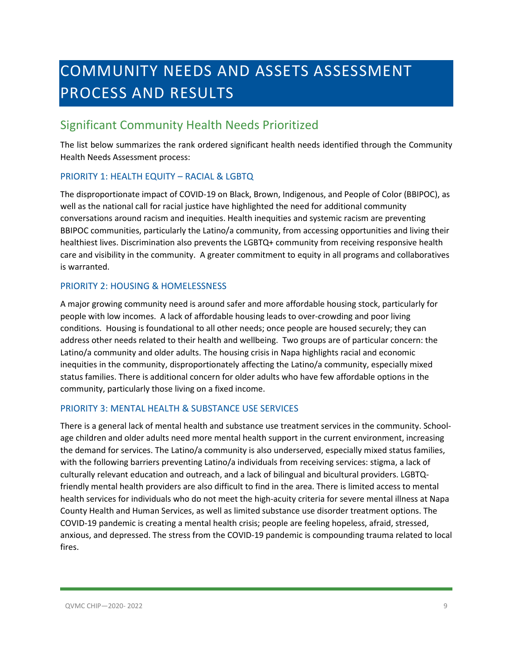# <span id="page-8-0"></span>COMMUNITY NEEDS AND ASSETS ASSESSMENT PROCESS AND RESULTS

### <span id="page-8-1"></span>Significant Community Health Needs Prioritized

The list below summarizes the rank ordered significant health needs identified through the Community Health Needs Assessment process:

### PRIORITY 1: HEALTH EQUITY – RACIAL & LGBTQ

The disproportionate impact of COVID-19 on Black, Brown, Indigenous, and People of Color (BBIPOC), as well as the national call for racial justice have highlighted the need for additional community conversations around racism and inequities. Health inequities and systemic racism are preventing BBIPOC communities, particularly the Latino/a community, from accessing opportunities and living their healthiest lives. Discrimination also prevents the LGBTQ+ community from receiving responsive health care and visibility in the community. A greater commitment to equity in all programs and collaboratives is warranted.

### PRIORITY 2: HOUSING & HOMELESSNESS

A major growing community need is around safer and more affordable housing stock, particularly for people with low incomes. A lack of affordable housing leads to over-crowding and poor living conditions. Housing is foundational to all other needs; once people are housed securely; they can address other needs related to their health and wellbeing. Two groups are of particular concern: the Latino/a community and older adults. The housing crisis in Napa highlights racial and economic inequities in the community, disproportionately affecting the Latino/a community, especially mixed status families. There is additional concern for older adults who have few affordable options in the community, particularly those living on a fixed income.

### PRIORITY 3: MENTAL HEALTH & SUBSTANCE USE SERVICES

There is a general lack of mental health and substance use treatment services in the community. Schoolage children and older adults need more mental health support in the current environment, increasing the demand for services. The Latino/a community is also underserved, especially mixed status families, with the following barriers preventing Latino/a individuals from receiving services: stigma, a lack of culturally relevant education and outreach, and a lack of bilingual and bicultural providers. LGBTQfriendly mental health providers are also difficult to find in the area. There is limited access to mental health services for individuals who do not meet the high-acuity criteria for severe mental illness at Napa County Health and Human Services, as well as limited substance use disorder treatment options. The COVID-19 pandemic is creating a mental health crisis; people are feeling hopeless, afraid, stressed, anxious, and depressed. The stress from the COVID-19 pandemic is compounding trauma related to local fires.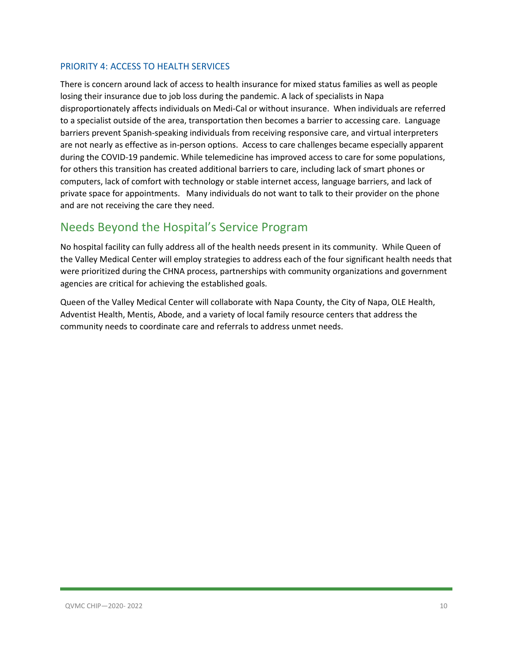### PRIORITY 4: ACCESS TO HEALTH SERVICES

There is concern around lack of access to health insurance for mixed status families as well as people losing their insurance due to job loss during the pandemic. A lack of specialists in Napa disproportionately affects individuals on Medi-Cal or without insurance. When individuals are referred to a specialist outside of the area, transportation then becomes a barrier to accessing care. Language barriers prevent Spanish-speaking individuals from receiving responsive care, and virtual interpreters are not nearly as effective as in-person options. Access to care challenges became especially apparent during the COVID-19 pandemic. While telemedicine has improved access to care for some populations, for others this transition has created additional barriers to care, including lack of smart phones or computers, lack of comfort with technology or stable internet access, language barriers, and lack of private space for appointments. Many individuals do not want to talk to their provider on the phone and are not receiving the care they need.

### <span id="page-9-0"></span>Needs Beyond the Hospital's Service Program

No hospital facility can fully address all of the health needs present in its community. While Queen of the Valley Medical Center will employ strategies to address each of the four significant health needs that were prioritized during the CHNA process, partnerships with community organizations and government agencies are critical for achieving the established goals.

Queen of the Valley Medical Center will collaborate with Napa County, the City of Napa, OLE Health, Adventist Health, Mentis, Abode, and a variety of local family resource centers that address the community needs to coordinate care and referrals to address unmet needs.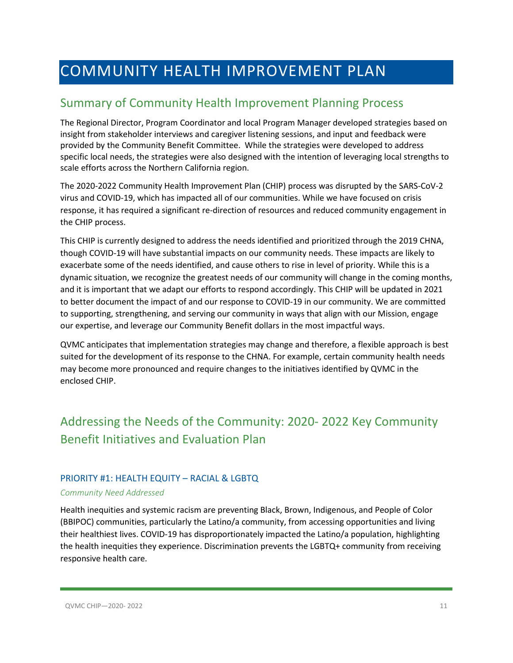### <span id="page-10-0"></span>COMMUNITY HEALTH IMPROVEMENT PLAN

### <span id="page-10-1"></span>Summary of Community Health Improvement Planning Process

The Regional Director, Program Coordinator and local Program Manager developed strategies based on insight from stakeholder interviews and caregiver listening sessions, and input and feedback were provided by the Community Benefit Committee. While the strategies were developed to address specific local needs, the strategies were also designed with the intention of leveraging local strengths to scale efforts across the Northern California region.

The 2020-2022 Community Health Improvement Plan (CHIP) process was disrupted by the SARS-CoV-2 virus and COVID-19, which has impacted all of our communities. While we have focused on crisis response, it has required a significant re-direction of resources and reduced community engagement in the CHIP process.

This CHIP is currently designed to address the needs identified and prioritized through the 2019 CHNA, though COVID-19 will have substantial impacts on our community needs. These impacts are likely to exacerbate some of the needs identified, and cause others to rise in level of priority. While this is a dynamic situation, we recognize the greatest needs of our community will change in the coming months, and it is important that we adapt our efforts to respond accordingly. This CHIP will be updated in 2021 to better document the impact of and our response to COVID-19 in our community. We are committed to supporting, strengthening, and serving our community in ways that align with our Mission, engage our expertise, and leverage our Community Benefit dollars in the most impactful ways.

QVMC anticipates that implementation strategies may change and therefore, a flexible approach is best suited for the development of its response to the CHNA. For example, certain community health needs may become more pronounced and require changes to the initiatives identified by QVMC in the enclosed CHIP.

### <span id="page-10-2"></span>Addressing the Needs of the Community: 2020- 2022 Key Community Benefit Initiatives and Evaluation Plan

### PRIORITY #1: HEALTH EQUITY – RACIAL & LGBTQ

#### *Community Need Addressed*

Health inequities and systemic racism are preventing Black, Brown, Indigenous, and People of Color (BBIPOC) communities, particularly the Latino/a community, from accessing opportunities and living their healthiest lives. COVID-19 has disproportionately impacted the Latino/a population, highlighting the health inequities they experience. Discrimination prevents the LGBTQ+ community from receiving responsive health care.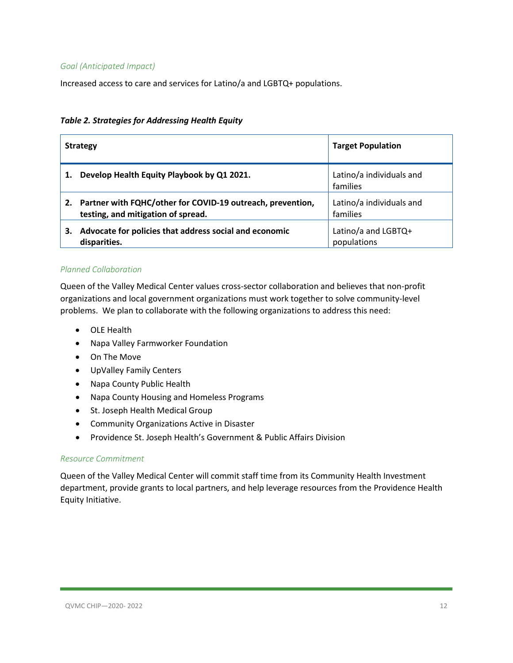### *Goal (Anticipated Impact)*

Increased access to care and services for Latino/a and LGBTQ+ populations.

#### *Table 2. Strategies for Addressing Health Equity*

|    | <b>Strategy</b>                                                                                  | <b>Target Population</b>             |
|----|--------------------------------------------------------------------------------------------------|--------------------------------------|
|    | Develop Health Equity Playbook by Q1 2021.                                                       | Latino/a individuals and<br>families |
|    | Partner with FQHC/other for COVID-19 outreach, prevention,<br>testing, and mitigation of spread. | Latino/a individuals and<br>families |
| З. | Advocate for policies that address social and economic<br>disparities.                           | Latino/a and LGBTQ+<br>populations   |

#### *Planned Collaboration*

Queen of the Valley Medical Center values cross-sector collaboration and believes that non-profit organizations and local government organizations must work together to solve community-level problems. We plan to collaborate with the following organizations to address this need:

- OLE Health
- Napa Valley Farmworker Foundation
- On The Move
- UpValley Family Centers
- Napa County Public Health
- Napa County Housing and Homeless Programs
- St. Joseph Health Medical Group
- Community Organizations Active in Disaster
- Providence St. Joseph Health's Government & Public Affairs Division

#### *Resource Commitment*

Queen of the Valley Medical Center will commit staff time from its Community Health Investment department, provide grants to local partners, and help leverage resources from the Providence Health Equity Initiative.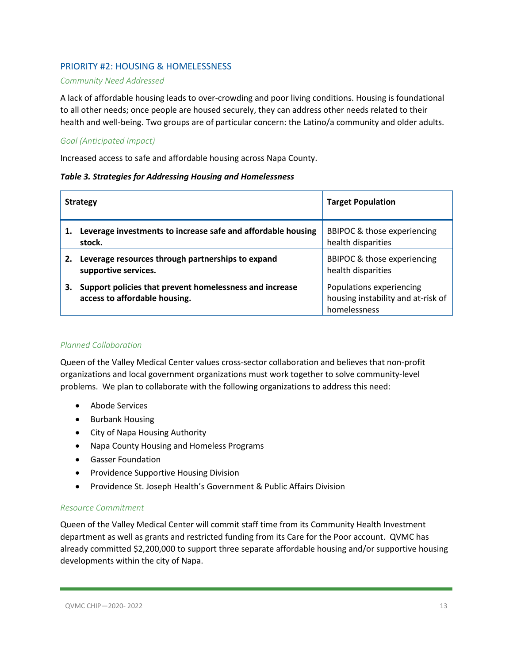### PRIORITY #2: HOUSING & HOMELESSNESS

#### *Community Need Addressed*

A lack of affordable housing leads to over-crowding and poor living conditions. Housing is foundational to all other needs; once people are housed securely, they can address other needs related to their health and well-being. Two groups are of particular concern: the Latino/a community and older adults.

### *Goal (Anticipated Impact)*

Increased access to safe and affordable housing across Napa County.

#### *Table 3. Strategies for Addressing Housing and Homelessness*

| <b>Strategy</b> |                                                                                          | <b>Target Population</b>                                                       |
|-----------------|------------------------------------------------------------------------------------------|--------------------------------------------------------------------------------|
|                 | Leverage investments to increase safe and affordable housing<br>stock.                   | BBIPOC & those experiencing<br>health disparities                              |
| 2.              | Leverage resources through partnerships to expand<br>supportive services.                | BBIPOC & those experiencing<br>health disparities                              |
| 3.              | Support policies that prevent homelessness and increase<br>access to affordable housing. | Populations experiencing<br>housing instability and at-risk of<br>homelessness |

### *Planned Collaboration*

Queen of the Valley Medical Center values cross-sector collaboration and believes that non-profit organizations and local government organizations must work together to solve community-level problems. We plan to collaborate with the following organizations to address this need:

- Abode Services
- Burbank Housing
- City of Napa Housing Authority
- Napa County Housing and Homeless Programs
- Gasser Foundation
- Providence Supportive Housing Division
- Providence St. Joseph Health's Government & Public Affairs Division

### *Resource Commitment*

Queen of the Valley Medical Center will commit staff time from its Community Health Investment department as well as grants and restricted funding from its Care for the Poor account. QVMC has already committed \$2,200,000 to support three separate affordable housing and/or supportive housing developments within the city of Napa.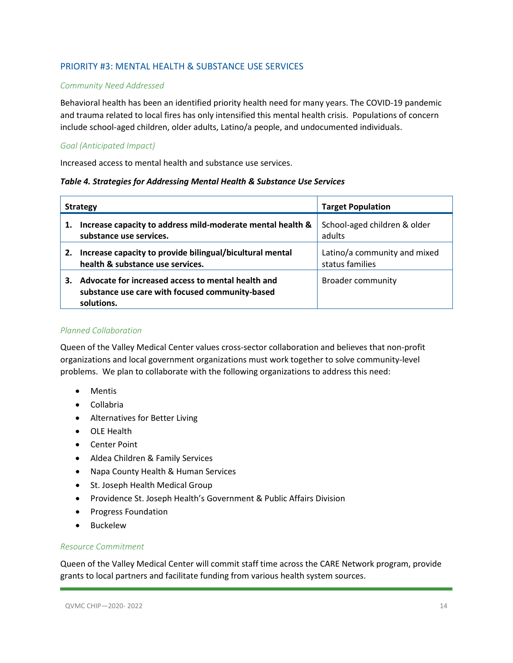### PRIORITY #3: MENTAL HEALTH & SUBSTANCE USE SERVICES

### *Community Need Addressed*

Behavioral health has been an identified priority health need for many years. The COVID-19 pandemic and trauma related to local fires has only intensified this mental health crisis. Populations of concern include school-aged children, older adults, Latino/a people, and undocumented individuals.

### *Goal (Anticipated Impact)*

Increased access to mental health and substance use services.

#### *Table 4. Strategies for Addressing Mental Health & Substance Use Services*

| <b>Strategy</b> |                                                                                                                     | <b>Target Population</b>                        |
|-----------------|---------------------------------------------------------------------------------------------------------------------|-------------------------------------------------|
| 1.              | Increase capacity to address mild-moderate mental health &<br>substance use services.                               | School-aged children & older<br>adults          |
| 2.              | Increase capacity to provide bilingual/bicultural mental<br>health & substance use services.                        | Latino/a community and mixed<br>status families |
| 3.              | Advocate for increased access to mental health and<br>substance use care with focused community-based<br>solutions. | Broader community                               |

#### *Planned Collaboration*

Queen of the Valley Medical Center values cross-sector collaboration and believes that non-profit organizations and local government organizations must work together to solve community-level problems. We plan to collaborate with the following organizations to address this need:

- Mentis
- Collabria
- Alternatives for Better Living
- OLE Health
- Center Point
- Aldea Children & Family Services
- Napa County Health & Human Services
- St. Joseph Health Medical Group
- Providence St. Joseph Health's Government & Public Affairs Division
- Progress Foundation
- Buckelew

### *Resource Commitment*

Queen of the Valley Medical Center will commit staff time across the CARE Network program, provide grants to local partners and facilitate funding from various health system sources.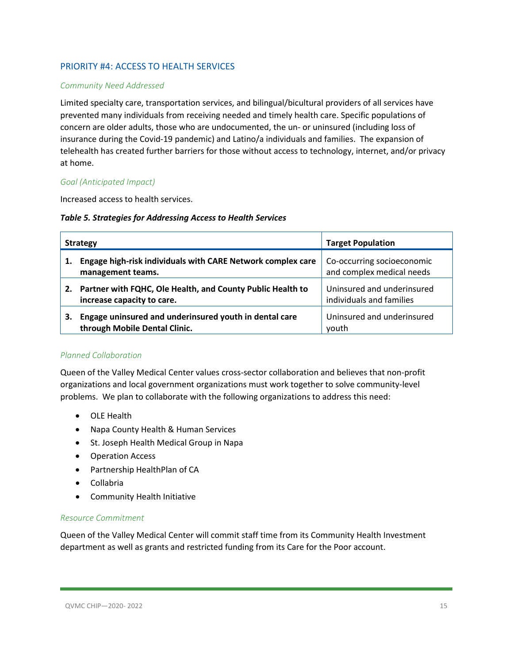### PRIORITY #4: ACCESS TO HEALTH SERVICES

### *Community Need Addressed*

Limited specialty care, transportation services, and bilingual/bicultural providers of all services have prevented many individuals from receiving needed and timely health care. Specific populations of concern are older adults, those who are undocumented, the un- or uninsured (including loss of insurance during the Covid-19 pandemic) and Latino/a individuals and families. The expansion of telehealth has created further barriers for those without access to technology, internet, and/or privacy at home.

### *Goal (Anticipated Impact)*

Increased access to health services.

#### *Table 5. Strategies for Addressing Access to Health Services*

| <b>Strategy</b> |                                                                                          | <b>Target Population</b>                                |
|-----------------|------------------------------------------------------------------------------------------|---------------------------------------------------------|
|                 | Engage high-risk individuals with CARE Network complex care<br>management teams.         | Co-occurring socioeconomic<br>and complex medical needs |
| 2.              | Partner with FQHC, Ole Health, and County Public Health to<br>increase capacity to care. | Uninsured and underinsured<br>individuals and families  |
| 3.              | Engage uninsured and underinsured youth in dental care<br>through Mobile Dental Clinic.  | Uninsured and underinsured<br>vouth                     |

### *Planned Collaboration*

Queen of the Valley Medical Center values cross-sector collaboration and believes that non-profit organizations and local government organizations must work together to solve community-level problems. We plan to collaborate with the following organizations to address this need:

- OLE Health
- Napa County Health & Human Services
- St. Joseph Health Medical Group in Napa
- Operation Access
- Partnership HealthPlan of CA
- Collabria
- Community Health Initiative

### *Resource Commitment*

Queen of the Valley Medical Center will commit staff time from its Community Health Investment department as well as grants and restricted funding from its Care for the Poor account.